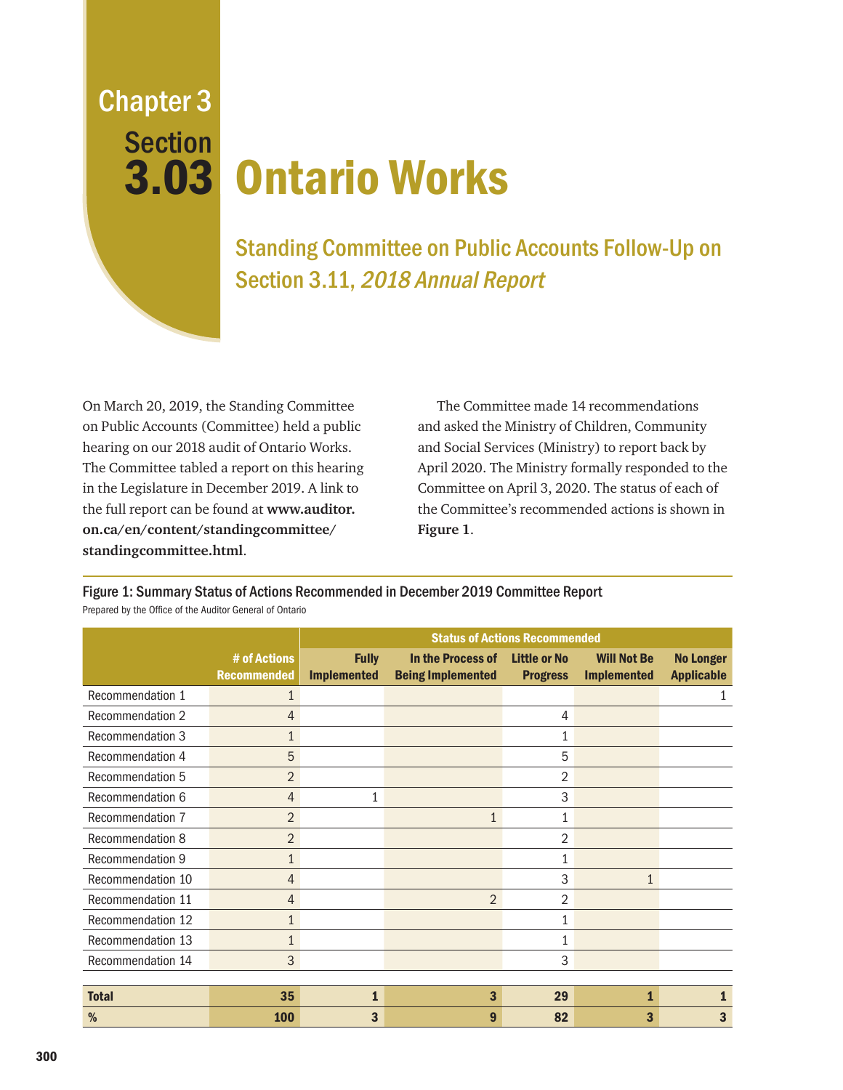Chapter 3 **Section** 

## 3.03 Ontario Works

Standing Committee on Public Accounts Follow-Up on Section 3.11, 2018 Annual Report

On March 20, 2019, the Standing Committee on Public Accounts (Committee) held a public hearing on our 2018 audit of Ontario Works. The Committee tabled a report on this hearing in the Legislature in December 2019. A link to the full report can be found at **www.auditor. on.ca/en/content/standingcommittee/ standingcommittee.html**.

The Committee made 14 recommendations and asked the Ministry of Children, Community and Social Services (Ministry) to report back by April 2020. The Ministry formally responded to the Committee on April 3, 2020. The status of each of the Committee's recommended actions is shown in **Figure 1**.

# of Actions Recommended Status of Actions Recommended Fully Implemented In the Process of Being Implemented Little or No Progress Will Not Be Implemented No Longer Applicable Recommendation 1 1 1 Recommendation 2 4 4 Recommendation 3 1 1 Recommendation 4 5 5 Recommendation 5 2 2 Recommendation 6  $\overline{4}$   $\overline{1}$   $\overline{3}$  3 Recommendation 7  $\overline{2}$  2  $\overline{1}$  1  $\overline{1}$  1 Recommendation 8 2 2 Recommendation 9 1 1 Recommendation 10  $\overline{4}$   $\overline{4}$  1  $\overline{3}$  3  $\overline{1}$  1 Recommendation 11  $\overline{4}$   $\overline{4}$  2  $\overline{2}$  2 2 Recommendation 12 1 1 Recommendation 13 1 1 Recommendation 14 3 3 3 3 3 3 3 3 4 3 3 3 3 4 3 3 3 4 3 3 3 3 4 3 3 4 3 3 4 3 4 3 4 3 3 4 3 4 3 4 3 4 3 4 3 4 3 4 3 4 3 4 3 4 4  $\pm$  1  $\pm$  1  $\pm$  1  $\pm$  1  $\pm$  1  $\pm$  1  $\pm$  1  $\pm$  1  $\pm$  1  $\pm$  1  $\pm$  1  $\pm$  1  $\pm$  1  $\pm$ Total  $\qquad \qquad \qquad 35 \qquad \qquad 1 \qquad \qquad 3 \qquad \qquad 29 \qquad \qquad 1 \qquad \qquad 1$ % to the contract of  $100$  and  $3$  and  $100$  and  $3$  and  $100$  and  $3$  and  $100$  and  $3$  and  $100$  and  $3$  and  $3$  and  $3$  and  $3$  and  $3$  and  $3$  and  $3$  and  $3$  and  $3$  and  $3$  and  $3$  and  $3$  and  $3$  and  $3$  and  $3$  an

Figure 1: Summary Status of Actions Recommended in December 2019 Committee Report Prepared by the Office of the Auditor General of Ontario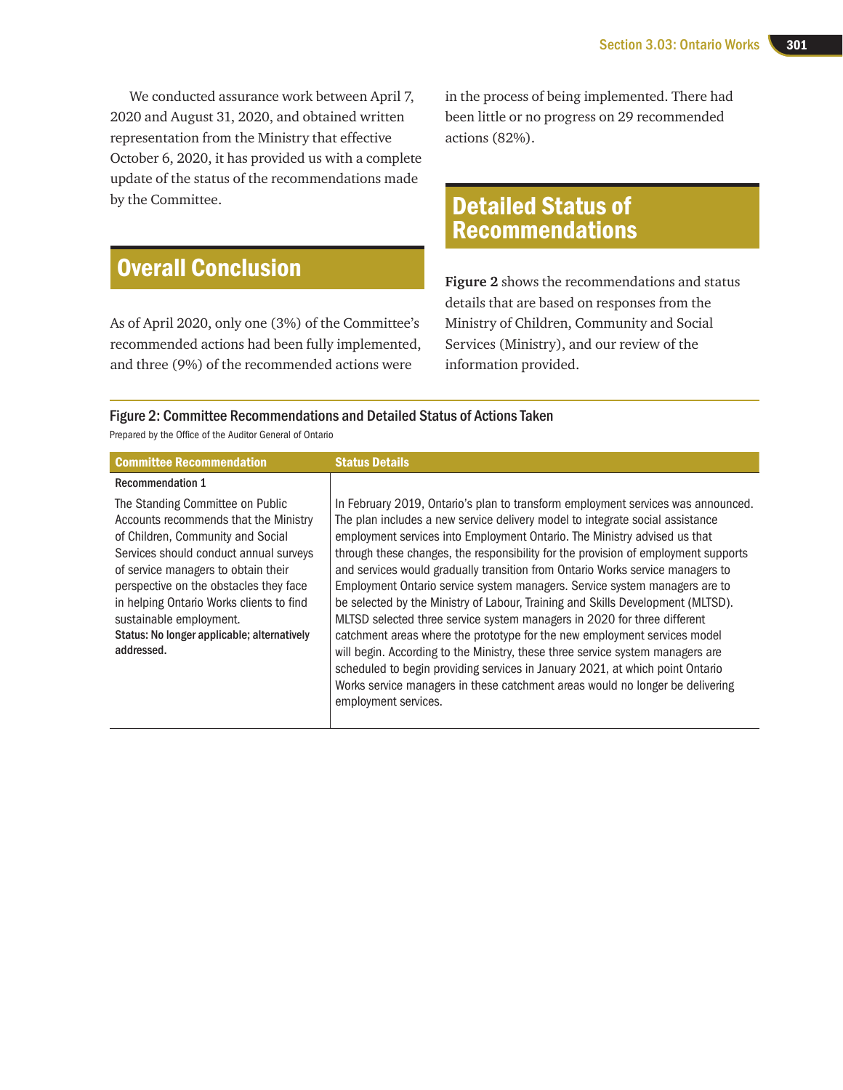We conducted assurance work between April 7, 2020 and August 31, 2020, and obtained written representation from the Ministry that effective October 6, 2020, it has provided us with a complete update of the status of the recommendations made by the Committee.

## Overall Conclusion

As of April 2020, only one (3%) of the Committee's recommended actions had been fully implemented, and three (9%) of the recommended actions were

in the process of being implemented. There had been little or no progress on 29 recommended actions (82%).

## Detailed Status of Recommendations

**Figure 2** shows the recommendations and status details that are based on responses from the Ministry of Children, Community and Social Services (Ministry), and our review of the information provided.

## Figure 2: Committee Recommendations and Detailed Status of Actions Taken

Prepared by the Office of the Auditor General of Ontario

| <b>Committee Recommendation</b>                                                                                                                                                                                                                                                                                                                                               | <b>Status Details</b>                                                                                                                                                                                                                                                                                                                                                                                                                                                                                                                                                                                                                                                                                                                                                                                                                                                                                                                                                                                                        |
|-------------------------------------------------------------------------------------------------------------------------------------------------------------------------------------------------------------------------------------------------------------------------------------------------------------------------------------------------------------------------------|------------------------------------------------------------------------------------------------------------------------------------------------------------------------------------------------------------------------------------------------------------------------------------------------------------------------------------------------------------------------------------------------------------------------------------------------------------------------------------------------------------------------------------------------------------------------------------------------------------------------------------------------------------------------------------------------------------------------------------------------------------------------------------------------------------------------------------------------------------------------------------------------------------------------------------------------------------------------------------------------------------------------------|
| <b>Recommendation 1</b>                                                                                                                                                                                                                                                                                                                                                       |                                                                                                                                                                                                                                                                                                                                                                                                                                                                                                                                                                                                                                                                                                                                                                                                                                                                                                                                                                                                                              |
| The Standing Committee on Public<br>Accounts recommends that the Ministry<br>of Children, Community and Social<br>Services should conduct annual surveys<br>of service managers to obtain their<br>perspective on the obstacles they face<br>in helping Ontario Works clients to find<br>sustainable employment.<br>Status: No longer applicable; alternatively<br>addressed. | In February 2019, Ontario's plan to transform employment services was announced.<br>The plan includes a new service delivery model to integrate social assistance<br>employment services into Employment Ontario. The Ministry advised us that<br>through these changes, the responsibility for the provision of employment supports<br>and services would gradually transition from Ontario Works service managers to<br>Employment Ontario service system managers. Service system managers are to<br>be selected by the Ministry of Labour, Training and Skills Development (MLTSD).<br>MLTSD selected three service system managers in 2020 for three different<br>catchment areas where the prototype for the new employment services model<br>will begin. According to the Ministry, these three service system managers are<br>scheduled to begin providing services in January 2021, at which point Ontario<br>Works service managers in these catchment areas would no longer be delivering<br>employment services. |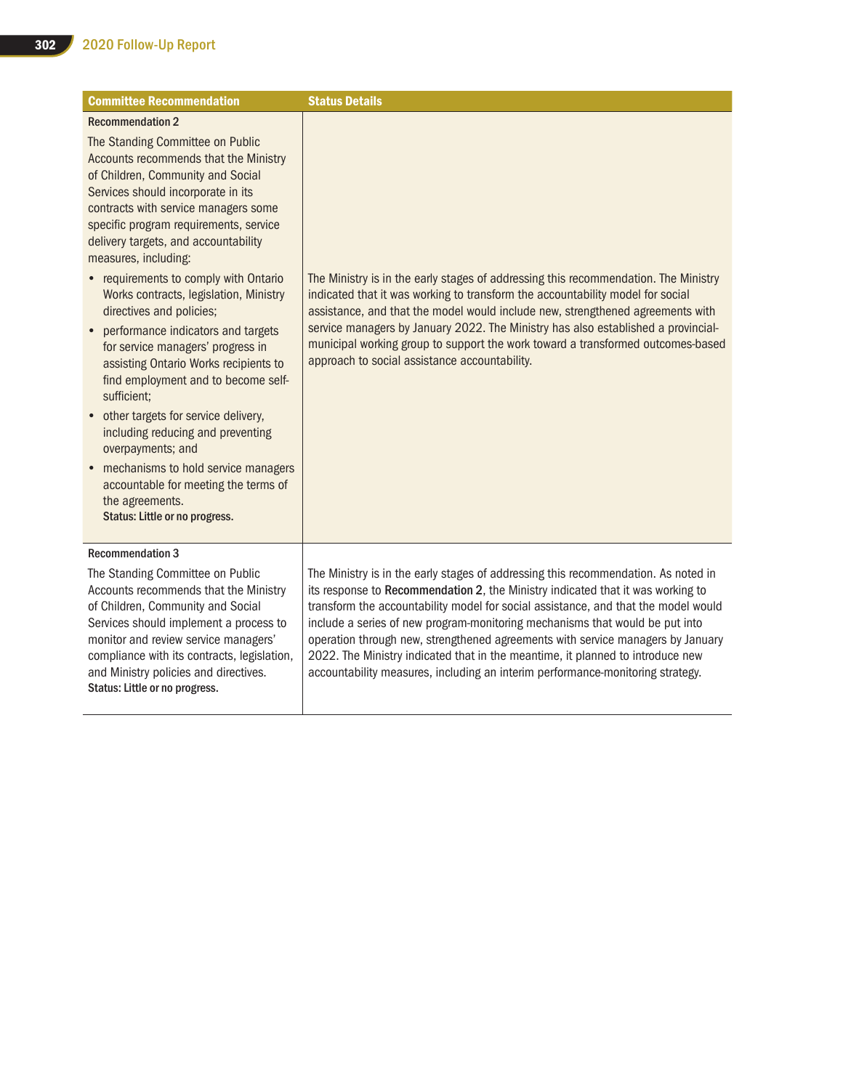| <b>Committee Recommendation</b>                                                                                                                                                                                                                                                                                                                                                                                                                                                                                                                                                                                                                                                                                                                                                                                                                                                | <b>Status Details</b>                                                                                                                                                                                                                                                                                                                                                                                                                                                            |
|--------------------------------------------------------------------------------------------------------------------------------------------------------------------------------------------------------------------------------------------------------------------------------------------------------------------------------------------------------------------------------------------------------------------------------------------------------------------------------------------------------------------------------------------------------------------------------------------------------------------------------------------------------------------------------------------------------------------------------------------------------------------------------------------------------------------------------------------------------------------------------|----------------------------------------------------------------------------------------------------------------------------------------------------------------------------------------------------------------------------------------------------------------------------------------------------------------------------------------------------------------------------------------------------------------------------------------------------------------------------------|
| <b>Recommendation 2</b><br>The Standing Committee on Public<br>Accounts recommends that the Ministry<br>of Children, Community and Social<br>Services should incorporate in its<br>contracts with service managers some<br>specific program requirements, service<br>delivery targets, and accountability<br>measures, including:<br>• requirements to comply with Ontario<br>Works contracts, legislation, Ministry<br>directives and policies;<br>performance indicators and targets<br>$\bullet$<br>for service managers' progress in<br>assisting Ontario Works recipients to<br>find employment and to become self-<br>sufficient;<br>• other targets for service delivery,<br>including reducing and preventing<br>overpayments; and<br>mechanisms to hold service managers<br>accountable for meeting the terms of<br>the agreements.<br>Status: Little or no progress. | The Ministry is in the early stages of addressing this recommendation. The Ministry<br>indicated that it was working to transform the accountability model for social<br>assistance, and that the model would include new, strengthened agreements with<br>service managers by January 2022. The Ministry has also established a provincial-<br>municipal working group to support the work toward a transformed outcomes-based<br>approach to social assistance accountability. |
| <b>Recommendation 3</b><br>The Standing Committee on Public<br>Accounts recommends that the Ministry<br>of Children, Community and Social                                                                                                                                                                                                                                                                                                                                                                                                                                                                                                                                                                                                                                                                                                                                      | The Ministry is in the early stages of addressing this recommendation. As noted in<br>its response to Recommendation 2, the Ministry indicated that it was working to<br>transform the accountability model for social assistance, and that the model would                                                                                                                                                                                                                      |
| Services should implement a process to<br>monitor and review service managers'<br>compliance with its contracts, legislation,<br>and Ministry policies and directives.<br>Status: Little or no progress.                                                                                                                                                                                                                                                                                                                                                                                                                                                                                                                                                                                                                                                                       | include a series of new program-monitoring mechanisms that would be put into<br>operation through new, strengthened agreements with service managers by January<br>2022. The Ministry indicated that in the meantime, it planned to introduce new<br>accountability measures, including an interim performance-monitoring strategy.                                                                                                                                              |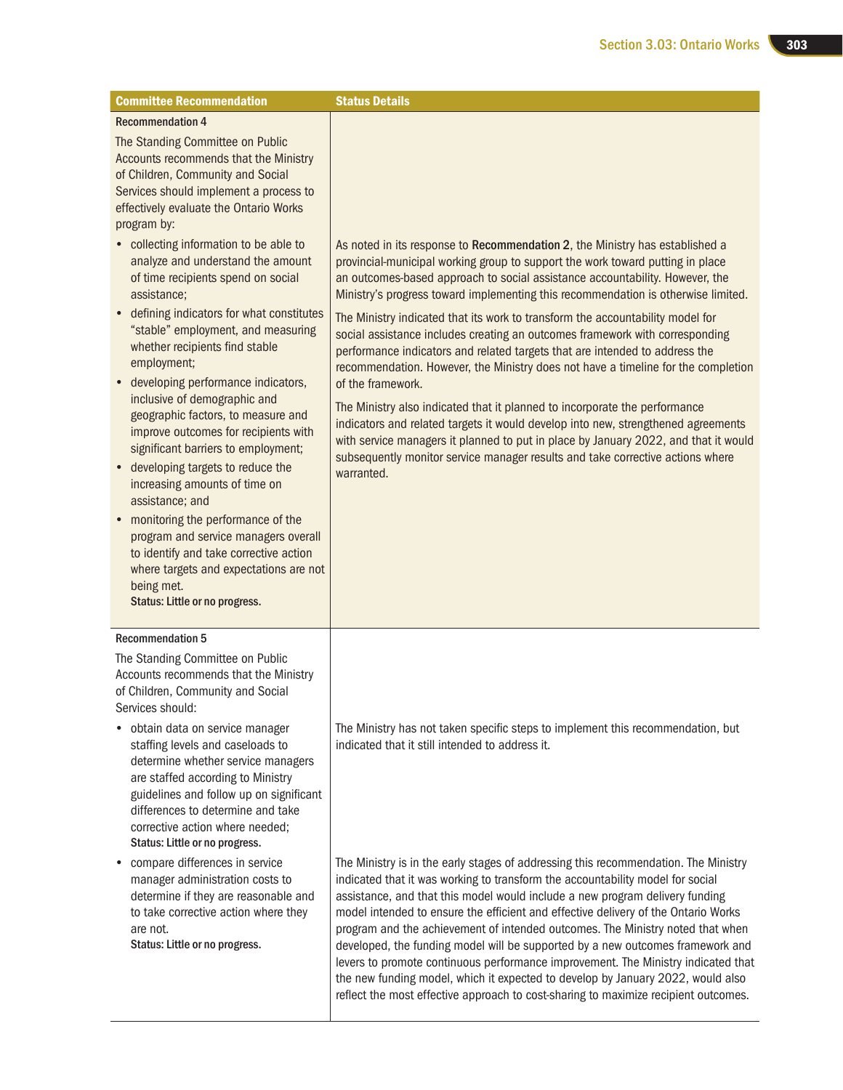| <b>Committee Recommendation</b>                                                                                                                                                                                                                                                                                                                                                                                                                                                                                                                                                                                                                                                                                                                                                          | <b>Status Details</b>                                                                                                                                                                                                                                                                                                                                                                                                                                                                                                                                                                                                                                                                                                                                                                                                                                                                                                                                                                                                                                    |
|------------------------------------------------------------------------------------------------------------------------------------------------------------------------------------------------------------------------------------------------------------------------------------------------------------------------------------------------------------------------------------------------------------------------------------------------------------------------------------------------------------------------------------------------------------------------------------------------------------------------------------------------------------------------------------------------------------------------------------------------------------------------------------------|----------------------------------------------------------------------------------------------------------------------------------------------------------------------------------------------------------------------------------------------------------------------------------------------------------------------------------------------------------------------------------------------------------------------------------------------------------------------------------------------------------------------------------------------------------------------------------------------------------------------------------------------------------------------------------------------------------------------------------------------------------------------------------------------------------------------------------------------------------------------------------------------------------------------------------------------------------------------------------------------------------------------------------------------------------|
| <b>Recommendation 4</b>                                                                                                                                                                                                                                                                                                                                                                                                                                                                                                                                                                                                                                                                                                                                                                  |                                                                                                                                                                                                                                                                                                                                                                                                                                                                                                                                                                                                                                                                                                                                                                                                                                                                                                                                                                                                                                                          |
| The Standing Committee on Public<br>Accounts recommends that the Ministry<br>of Children, Community and Social<br>Services should implement a process to<br>effectively evaluate the Ontario Works<br>program by:                                                                                                                                                                                                                                                                                                                                                                                                                                                                                                                                                                        |                                                                                                                                                                                                                                                                                                                                                                                                                                                                                                                                                                                                                                                                                                                                                                                                                                                                                                                                                                                                                                                          |
| • collecting information to be able to<br>analyze and understand the amount<br>of time recipients spend on social<br>assistance;<br>• defining indicators for what constitutes<br>"stable" employment, and measuring<br>whether recipients find stable<br>employment;<br>developing performance indicators,<br>inclusive of demographic and<br>geographic factors, to measure and<br>improve outcomes for recipients with<br>significant barriers to employment;<br>• developing targets to reduce the<br>increasing amounts of time on<br>assistance; and<br>monitoring the performance of the<br>$\bullet$<br>program and service managers overall<br>to identify and take corrective action<br>where targets and expectations are not<br>being met.<br>Status: Little or no progress. | As noted in its response to Recommendation 2, the Ministry has established a<br>provincial-municipal working group to support the work toward putting in place<br>an outcomes-based approach to social assistance accountability. However, the<br>Ministry's progress toward implementing this recommendation is otherwise limited.<br>The Ministry indicated that its work to transform the accountability model for<br>social assistance includes creating an outcomes framework with corresponding<br>performance indicators and related targets that are intended to address the<br>recommendation. However, the Ministry does not have a timeline for the completion<br>of the framework.<br>The Ministry also indicated that it planned to incorporate the performance<br>indicators and related targets it would develop into new, strengthened agreements<br>with service managers it planned to put in place by January 2022, and that it would<br>subsequently monitor service manager results and take corrective actions where<br>warranted. |
| <b>Recommendation 5</b>                                                                                                                                                                                                                                                                                                                                                                                                                                                                                                                                                                                                                                                                                                                                                                  |                                                                                                                                                                                                                                                                                                                                                                                                                                                                                                                                                                                                                                                                                                                                                                                                                                                                                                                                                                                                                                                          |
| The Standing Committee on Public<br>Accounts recommends that the Ministry<br>of Children, Community and Social<br>Services should:<br>obtain data on service manager<br>staffing levels and caseloads to<br>determine whether service managers<br>are staffed according to Ministry<br>guidelines and follow up on significant<br>differences to determine and take<br>corrective action where needed;<br>Status: Little or no progress.                                                                                                                                                                                                                                                                                                                                                 | The Ministry has not taken specific steps to implement this recommendation, but<br>indicated that it still intended to address it.                                                                                                                                                                                                                                                                                                                                                                                                                                                                                                                                                                                                                                                                                                                                                                                                                                                                                                                       |
| compare differences in service<br>٠<br>manager administration costs to<br>determine if they are reasonable and<br>to take corrective action where they<br>are not.<br>Status: Little or no progress.                                                                                                                                                                                                                                                                                                                                                                                                                                                                                                                                                                                     | The Ministry is in the early stages of addressing this recommendation. The Ministry<br>indicated that it was working to transform the accountability model for social<br>assistance, and that this model would include a new program delivery funding<br>model intended to ensure the efficient and effective delivery of the Ontario Works<br>program and the achievement of intended outcomes. The Ministry noted that when<br>developed, the funding model will be supported by a new outcomes framework and<br>levers to promote continuous performance improvement. The Ministry indicated that<br>the new funding model, which it expected to develop by January 2022, would also<br>reflect the most effective approach to cost-sharing to maximize recipient outcomes.                                                                                                                                                                                                                                                                           |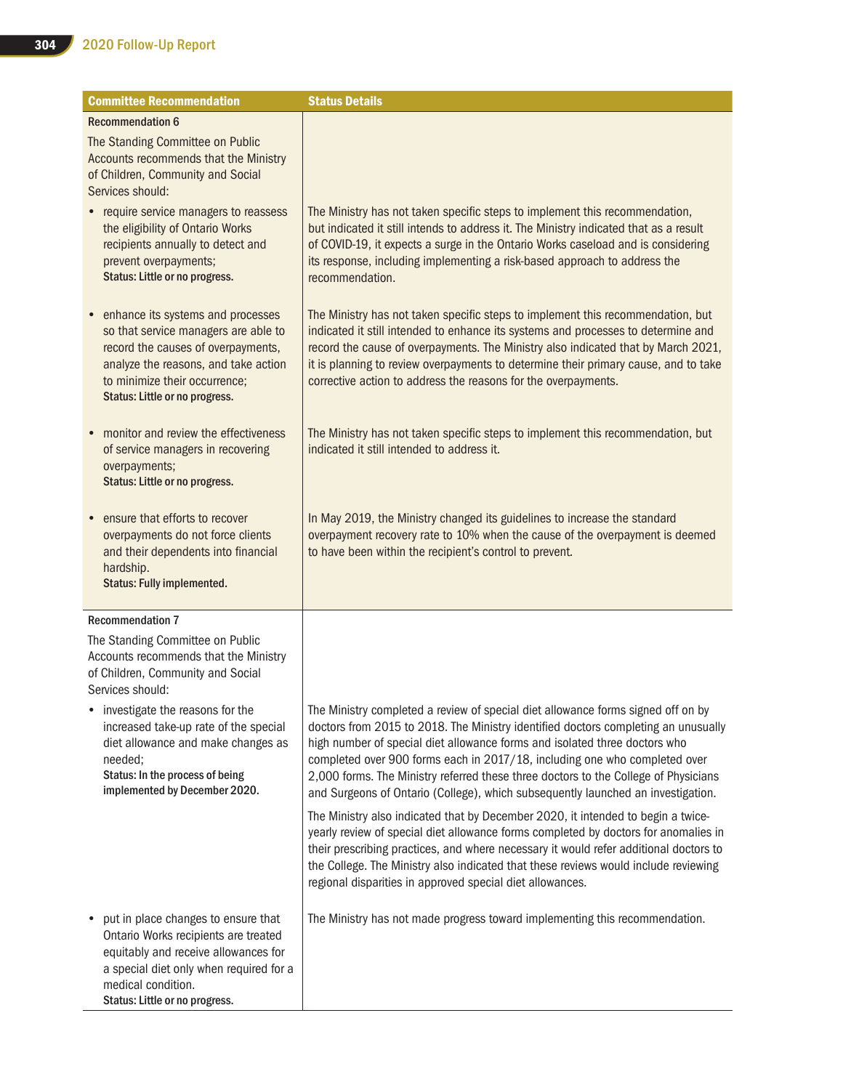| <b>Committee Recommendation</b>                                                                                                                                                                                              | <b>Status Details</b>                                                                                                                                                                                                                                                                                                                                                                                                                                                                                         |
|------------------------------------------------------------------------------------------------------------------------------------------------------------------------------------------------------------------------------|---------------------------------------------------------------------------------------------------------------------------------------------------------------------------------------------------------------------------------------------------------------------------------------------------------------------------------------------------------------------------------------------------------------------------------------------------------------------------------------------------------------|
| <b>Recommendation 6</b>                                                                                                                                                                                                      |                                                                                                                                                                                                                                                                                                                                                                                                                                                                                                               |
| The Standing Committee on Public<br>Accounts recommends that the Ministry<br>of Children, Community and Social<br>Services should:                                                                                           |                                                                                                                                                                                                                                                                                                                                                                                                                                                                                                               |
| • require service managers to reassess<br>the eligibility of Ontario Works<br>recipients annually to detect and<br>prevent overpayments;<br>Status: Little or no progress.                                                   | The Ministry has not taken specific steps to implement this recommendation,<br>but indicated it still intends to address it. The Ministry indicated that as a result<br>of COVID-19, it expects a surge in the Ontario Works caseload and is considering<br>its response, including implementing a risk-based approach to address the<br>recommendation.                                                                                                                                                      |
| • enhance its systems and processes<br>so that service managers are able to<br>record the causes of overpayments,<br>analyze the reasons, and take action<br>to minimize their occurrence;<br>Status: Little or no progress. | The Ministry has not taken specific steps to implement this recommendation, but<br>indicated it still intended to enhance its systems and processes to determine and<br>record the cause of overpayments. The Ministry also indicated that by March 2021,<br>it is planning to review overpayments to determine their primary cause, and to take<br>corrective action to address the reasons for the overpayments.                                                                                            |
| • monitor and review the effectiveness<br>of service managers in recovering<br>overpayments;<br>Status: Little or no progress.                                                                                               | The Ministry has not taken specific steps to implement this recommendation, but<br>indicated it still intended to address it.                                                                                                                                                                                                                                                                                                                                                                                 |
| ensure that efforts to recover<br>overpayments do not force clients<br>and their dependents into financial<br>hardship.<br>Status: Fully implemented.                                                                        | In May 2019, the Ministry changed its guidelines to increase the standard<br>overpayment recovery rate to 10% when the cause of the overpayment is deemed<br>to have been within the recipient's control to prevent.                                                                                                                                                                                                                                                                                          |
| <b>Recommendation 7</b>                                                                                                                                                                                                      |                                                                                                                                                                                                                                                                                                                                                                                                                                                                                                               |
| The Standing Committee on Public<br>Accounts recommends that the Ministry<br>of Children, Community and Social<br>Services should:                                                                                           |                                                                                                                                                                                                                                                                                                                                                                                                                                                                                                               |
| investigate the reasons for the<br>increased take-up rate of the special<br>diet allowance and make changes as<br>needed;<br>Status: In the process of being<br>implemented by December 2020.                                | The Ministry completed a review of special diet allowance forms signed off on by<br>doctors from 2015 to 2018. The Ministry identified doctors completing an unusually<br>high number of special diet allowance forms and isolated three doctors who<br>completed over 900 forms each in 2017/18, including one who completed over<br>2,000 forms. The Ministry referred these three doctors to the College of Physicians<br>and Surgeons of Ontario (College), which subsequently launched an investigation. |
|                                                                                                                                                                                                                              | The Ministry also indicated that by December 2020, it intended to begin a twice-<br>yearly review of special diet allowance forms completed by doctors for anomalies in<br>their prescribing practices, and where necessary it would refer additional doctors to<br>the College. The Ministry also indicated that these reviews would include reviewing<br>regional disparities in approved special diet allowances.                                                                                          |
| put in place changes to ensure that<br>٠<br>Ontario Works recipients are treated<br>equitably and receive allowances for<br>a special diet only when required for a<br>medical condition.<br>Status: Little or no progress.  | The Ministry has not made progress toward implementing this recommendation.                                                                                                                                                                                                                                                                                                                                                                                                                                   |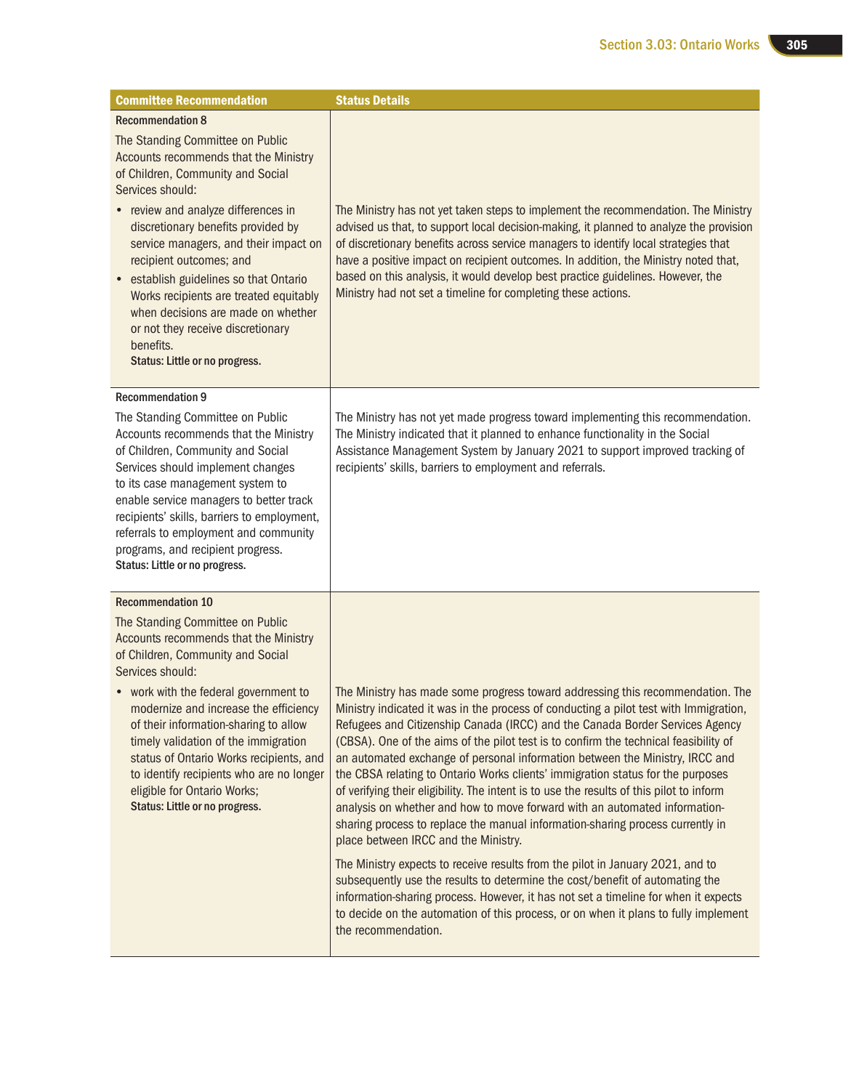| <b>Committee Recommendation</b>                                                                                                                                                                                                                                                                                                                                                                                                                               | <b>Status Details</b>                                                                                                                                                                                                                                                                                                                                                                                                                                                                                                                                                                                                                                                                                                                                                                                                                                                                                                                                                                                                                                                                                                                                                                         |
|---------------------------------------------------------------------------------------------------------------------------------------------------------------------------------------------------------------------------------------------------------------------------------------------------------------------------------------------------------------------------------------------------------------------------------------------------------------|-----------------------------------------------------------------------------------------------------------------------------------------------------------------------------------------------------------------------------------------------------------------------------------------------------------------------------------------------------------------------------------------------------------------------------------------------------------------------------------------------------------------------------------------------------------------------------------------------------------------------------------------------------------------------------------------------------------------------------------------------------------------------------------------------------------------------------------------------------------------------------------------------------------------------------------------------------------------------------------------------------------------------------------------------------------------------------------------------------------------------------------------------------------------------------------------------|
| <b>Recommendation 8</b><br>The Standing Committee on Public                                                                                                                                                                                                                                                                                                                                                                                                   |                                                                                                                                                                                                                                                                                                                                                                                                                                                                                                                                                                                                                                                                                                                                                                                                                                                                                                                                                                                                                                                                                                                                                                                               |
| Accounts recommends that the Ministry<br>of Children, Community and Social<br>Services should:                                                                                                                                                                                                                                                                                                                                                                |                                                                                                                                                                                                                                                                                                                                                                                                                                                                                                                                                                                                                                                                                                                                                                                                                                                                                                                                                                                                                                                                                                                                                                                               |
| • review and analyze differences in<br>discretionary benefits provided by<br>service managers, and their impact on<br>recipient outcomes; and<br>• establish guidelines so that Ontario<br>Works recipients are treated equitably<br>when decisions are made on whether<br>or not they receive discretionary<br>benefits.<br>Status: Little or no progress.                                                                                                   | The Ministry has not yet taken steps to implement the recommendation. The Ministry<br>advised us that, to support local decision-making, it planned to analyze the provision<br>of discretionary benefits across service managers to identify local strategies that<br>have a positive impact on recipient outcomes. In addition, the Ministry noted that,<br>based on this analysis, it would develop best practice guidelines. However, the<br>Ministry had not set a timeline for completing these actions.                                                                                                                                                                                                                                                                                                                                                                                                                                                                                                                                                                                                                                                                                |
| <b>Recommendation 9</b>                                                                                                                                                                                                                                                                                                                                                                                                                                       |                                                                                                                                                                                                                                                                                                                                                                                                                                                                                                                                                                                                                                                                                                                                                                                                                                                                                                                                                                                                                                                                                                                                                                                               |
| The Standing Committee on Public<br>Accounts recommends that the Ministry<br>of Children, Community and Social<br>Services should implement changes<br>to its case management system to<br>enable service managers to better track<br>recipients' skills, barriers to employment,<br>referrals to employment and community<br>programs, and recipient progress.<br>Status: Little or no progress.                                                             | The Ministry has not yet made progress toward implementing this recommendation.<br>The Ministry indicated that it planned to enhance functionality in the Social<br>Assistance Management System by January 2021 to support improved tracking of<br>recipients' skills, barriers to employment and referrals.                                                                                                                                                                                                                                                                                                                                                                                                                                                                                                                                                                                                                                                                                                                                                                                                                                                                                 |
| <b>Recommendation 10</b>                                                                                                                                                                                                                                                                                                                                                                                                                                      |                                                                                                                                                                                                                                                                                                                                                                                                                                                                                                                                                                                                                                                                                                                                                                                                                                                                                                                                                                                                                                                                                                                                                                                               |
| The Standing Committee on Public<br>Accounts recommends that the Ministry<br>of Children, Community and Social<br>Services should:<br>• work with the federal government to<br>modernize and increase the efficiency<br>of their information-sharing to allow<br>timely validation of the immigration<br>status of Ontario Works recipients, and<br>to identify recipients who are no longer<br>eligible for Ontario Works;<br>Status: Little or no progress. | The Ministry has made some progress toward addressing this recommendation. The<br>Ministry indicated it was in the process of conducting a pilot test with Immigration,<br>Refugees and Citizenship Canada (IRCC) and the Canada Border Services Agency<br>(CBSA). One of the aims of the pilot test is to confirm the technical feasibility of<br>an automated exchange of personal information between the Ministry, IRCC and<br>the CBSA relating to Ontario Works clients' immigration status for the purposes<br>of verifying their eligibility. The intent is to use the results of this pilot to inform<br>analysis on whether and how to move forward with an automated information-<br>sharing process to replace the manual information-sharing process currently in<br>place between IRCC and the Ministry.<br>The Ministry expects to receive results from the pilot in January 2021, and to<br>subsequently use the results to determine the cost/benefit of automating the<br>information-sharing process. However, it has not set a timeline for when it expects<br>to decide on the automation of this process, or on when it plans to fully implement<br>the recommendation. |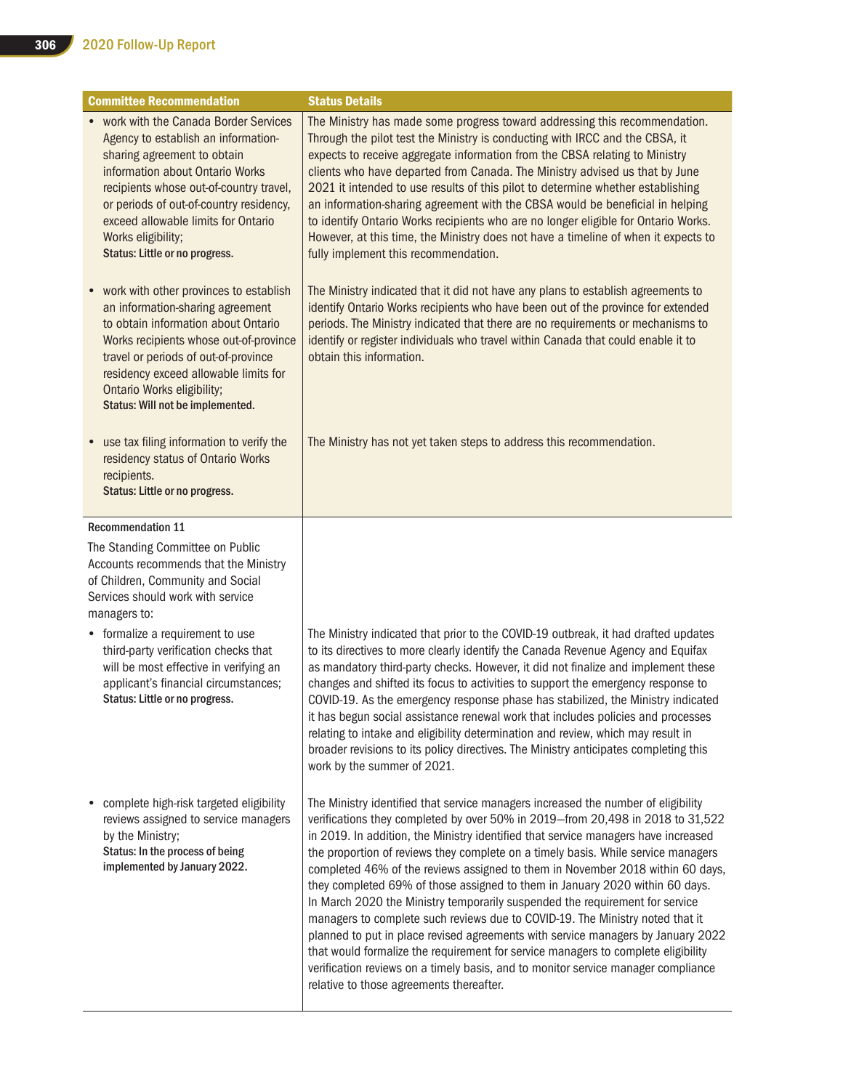| <b>Committee Recommendation</b>                                                                                                                                                                                                                                                                                                      | <b>Status Details</b>                                                                                                                                                                                                                                                                                                                                                                                                                                                                                                                                                                                                                                                                                                                                                                                                                                                                                                                                                                       |
|--------------------------------------------------------------------------------------------------------------------------------------------------------------------------------------------------------------------------------------------------------------------------------------------------------------------------------------|---------------------------------------------------------------------------------------------------------------------------------------------------------------------------------------------------------------------------------------------------------------------------------------------------------------------------------------------------------------------------------------------------------------------------------------------------------------------------------------------------------------------------------------------------------------------------------------------------------------------------------------------------------------------------------------------------------------------------------------------------------------------------------------------------------------------------------------------------------------------------------------------------------------------------------------------------------------------------------------------|
| • work with the Canada Border Services<br>Agency to establish an information-<br>sharing agreement to obtain<br>information about Ontario Works<br>recipients whose out-of-country travel,<br>or periods of out-of-country residency,<br>exceed allowable limits for Ontario<br>Works eligibility;<br>Status: Little or no progress. | The Ministry has made some progress toward addressing this recommendation.<br>Through the pilot test the Ministry is conducting with IRCC and the CBSA, it<br>expects to receive aggregate information from the CBSA relating to Ministry<br>clients who have departed from Canada. The Ministry advised us that by June<br>2021 it intended to use results of this pilot to determine whether establishing<br>an information-sharing agreement with the CBSA would be beneficial in helping<br>to identify Ontario Works recipients who are no longer eligible for Ontario Works.<br>However, at this time, the Ministry does not have a timeline of when it expects to<br>fully implement this recommendation.                                                                                                                                                                                                                                                                            |
| work with other provinces to establish<br>$\bullet$<br>an information-sharing agreement<br>to obtain information about Ontario<br>Works recipients whose out-of-province<br>travel or periods of out-of-province<br>residency exceed allowable limits for<br><b>Ontario Works eligibility;</b><br>Status: Will not be implemented.   | The Ministry indicated that it did not have any plans to establish agreements to<br>identify Ontario Works recipients who have been out of the province for extended<br>periods. The Ministry indicated that there are no requirements or mechanisms to<br>identify or register individuals who travel within Canada that could enable it to<br>obtain this information.                                                                                                                                                                                                                                                                                                                                                                                                                                                                                                                                                                                                                    |
| use tax filing information to verify the<br>$\bullet$<br>residency status of Ontario Works<br>recipients.<br>Status: Little or no progress.                                                                                                                                                                                          | The Ministry has not yet taken steps to address this recommendation.                                                                                                                                                                                                                                                                                                                                                                                                                                                                                                                                                                                                                                                                                                                                                                                                                                                                                                                        |
| <b>Recommendation 11</b>                                                                                                                                                                                                                                                                                                             |                                                                                                                                                                                                                                                                                                                                                                                                                                                                                                                                                                                                                                                                                                                                                                                                                                                                                                                                                                                             |
| The Standing Committee on Public<br>Accounts recommends that the Ministry<br>of Children, Community and Social<br>Services should work with service<br>managers to:                                                                                                                                                                  |                                                                                                                                                                                                                                                                                                                                                                                                                                                                                                                                                                                                                                                                                                                                                                                                                                                                                                                                                                                             |
| • formalize a requirement to use<br>third-party verification checks that<br>will be most effective in verifying an<br>applicant's financial circumstances;<br>Status: Little or no progress.                                                                                                                                         | The Ministry indicated that prior to the COVID-19 outbreak, it had drafted updates<br>to its directives to more clearly identify the Canada Revenue Agency and Equifax<br>as mandatory third-party checks. However, it did not finalize and implement these<br>changes and shifted its focus to activities to support the emergency response to<br>COVID-19. As the emergency response phase has stabilized, the Ministry indicated<br>it has begun social assistance renewal work that includes policies and processes<br>relating to intake and eligibility determination and review, which may result in<br>broader revisions to its policy directives. The Ministry anticipates completing this<br>work by the summer of 2021.                                                                                                                                                                                                                                                          |
| complete high-risk targeted eligibility<br>reviews assigned to service managers<br>by the Ministry;<br>Status: In the process of being<br>implemented by January 2022.                                                                                                                                                               | The Ministry identified that service managers increased the number of eligibility<br>verifications they completed by over 50% in 2019-from 20,498 in 2018 to 31,522<br>in 2019. In addition, the Ministry identified that service managers have increased<br>the proportion of reviews they complete on a timely basis. While service managers<br>completed 46% of the reviews assigned to them in November 2018 within 60 days,<br>they completed 69% of those assigned to them in January 2020 within 60 days.<br>In March 2020 the Ministry temporarily suspended the requirement for service<br>managers to complete such reviews due to COVID-19. The Ministry noted that it<br>planned to put in place revised agreements with service managers by January 2022<br>that would formalize the requirement for service managers to complete eligibility<br>verification reviews on a timely basis, and to monitor service manager compliance<br>relative to those agreements thereafter. |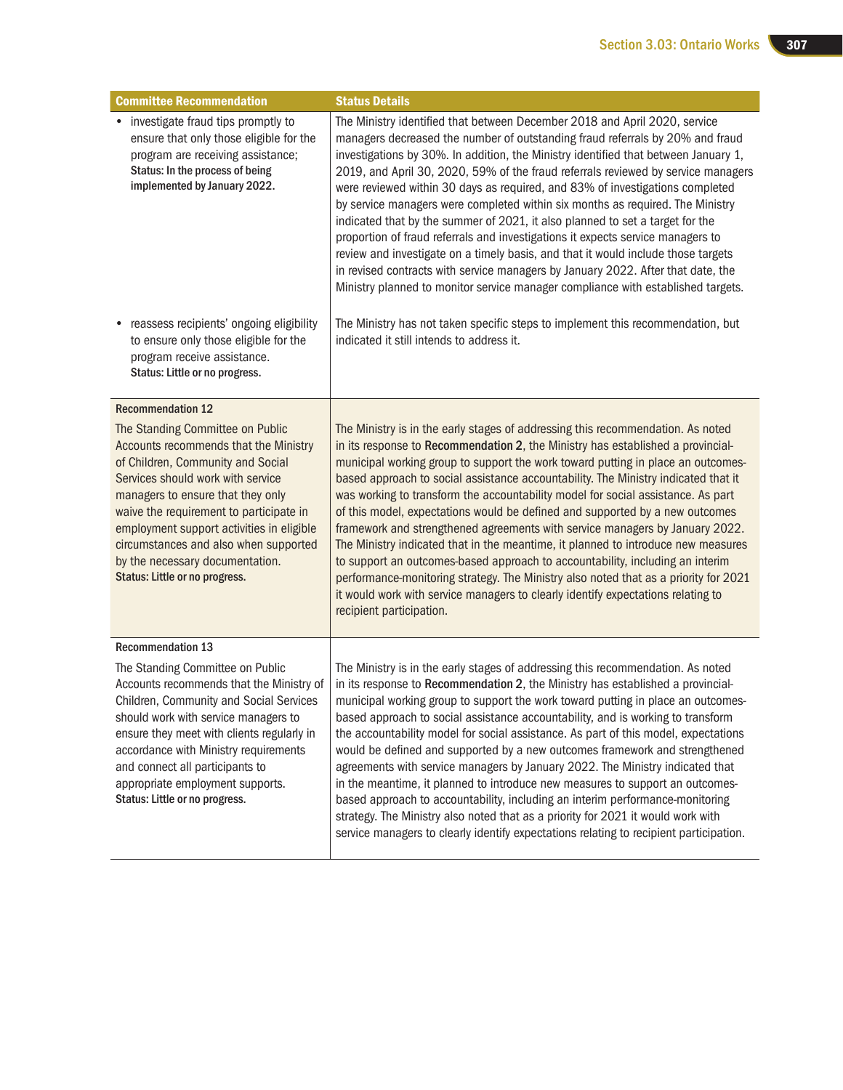| <b>Committee Recommendation</b>                                                                                                                                                                                                                                                                                                                                                                | <b>Status Details</b>                                                                                                                                                                                                                                                                                                                                                                                                                                                                                                                                                                                                                                                                                                                                                                                                                                                                                                                                                          |
|------------------------------------------------------------------------------------------------------------------------------------------------------------------------------------------------------------------------------------------------------------------------------------------------------------------------------------------------------------------------------------------------|--------------------------------------------------------------------------------------------------------------------------------------------------------------------------------------------------------------------------------------------------------------------------------------------------------------------------------------------------------------------------------------------------------------------------------------------------------------------------------------------------------------------------------------------------------------------------------------------------------------------------------------------------------------------------------------------------------------------------------------------------------------------------------------------------------------------------------------------------------------------------------------------------------------------------------------------------------------------------------|
| • investigate fraud tips promptly to<br>ensure that only those eligible for the<br>program are receiving assistance;<br>Status: In the process of being<br>implemented by January 2022.                                                                                                                                                                                                        | The Ministry identified that between December 2018 and April 2020, service<br>managers decreased the number of outstanding fraud referrals by 20% and fraud<br>investigations by 30%. In addition, the Ministry identified that between January 1,<br>2019, and April 30, 2020, 59% of the fraud referrals reviewed by service managers<br>were reviewed within 30 days as required, and 83% of investigations completed<br>by service managers were completed within six months as required. The Ministry<br>indicated that by the summer of 2021, it also planned to set a target for the<br>proportion of fraud referrals and investigations it expects service managers to<br>review and investigate on a timely basis, and that it would include those targets<br>in revised contracts with service managers by January 2022. After that date, the<br>Ministry planned to monitor service manager compliance with established targets.                                    |
| reassess recipients' ongoing eligibility<br>to ensure only those eligible for the<br>program receive assistance.<br>Status: Little or no progress.                                                                                                                                                                                                                                             | The Ministry has not taken specific steps to implement this recommendation, but<br>indicated it still intends to address it.                                                                                                                                                                                                                                                                                                                                                                                                                                                                                                                                                                                                                                                                                                                                                                                                                                                   |
| <b>Recommendation 12</b>                                                                                                                                                                                                                                                                                                                                                                       |                                                                                                                                                                                                                                                                                                                                                                                                                                                                                                                                                                                                                                                                                                                                                                                                                                                                                                                                                                                |
| The Standing Committee on Public<br>Accounts recommends that the Ministry<br>of Children, Community and Social<br>Services should work with service<br>managers to ensure that they only<br>waive the requirement to participate in<br>employment support activities in eligible<br>circumstances and also when supported<br>by the necessary documentation.<br>Status: Little or no progress. | The Ministry is in the early stages of addressing this recommendation. As noted<br>in its response to Recommendation 2, the Ministry has established a provincial-<br>municipal working group to support the work toward putting in place an outcomes-<br>based approach to social assistance accountability. The Ministry indicated that it<br>was working to transform the accountability model for social assistance. As part<br>of this model, expectations would be defined and supported by a new outcomes<br>framework and strengthened agreements with service managers by January 2022.<br>The Ministry indicated that in the meantime, it planned to introduce new measures<br>to support an outcomes-based approach to accountability, including an interim<br>performance-monitoring strategy. The Ministry also noted that as a priority for 2021<br>it would work with service managers to clearly identify expectations relating to<br>recipient participation. |
| <b>Recommendation 13</b>                                                                                                                                                                                                                                                                                                                                                                       |                                                                                                                                                                                                                                                                                                                                                                                                                                                                                                                                                                                                                                                                                                                                                                                                                                                                                                                                                                                |
| The Standing Committee on Public<br>Accounts recommends that the Ministry of<br>Children, Community and Social Services<br>should work with service managers to<br>ensure they meet with clients regularly in<br>accordance with Ministry requirements<br>and connect all participants to<br>appropriate employment supports.<br>Status: Little or no progress.                                | The Ministry is in the early stages of addressing this recommendation. As noted<br>in its response to Recommendation 2, the Ministry has established a provincial-<br>municipal working group to support the work toward putting in place an outcomes-<br>based approach to social assistance accountability, and is working to transform<br>the accountability model for social assistance. As part of this model, expectations<br>would be defined and supported by a new outcomes framework and strengthened<br>agreements with service managers by January 2022. The Ministry indicated that<br>in the meantime, it planned to introduce new measures to support an outcomes-<br>based approach to accountability, including an interim performance-monitoring<br>strategy. The Ministry also noted that as a priority for 2021 it would work with<br>service managers to clearly identify expectations relating to recipient participation.                               |